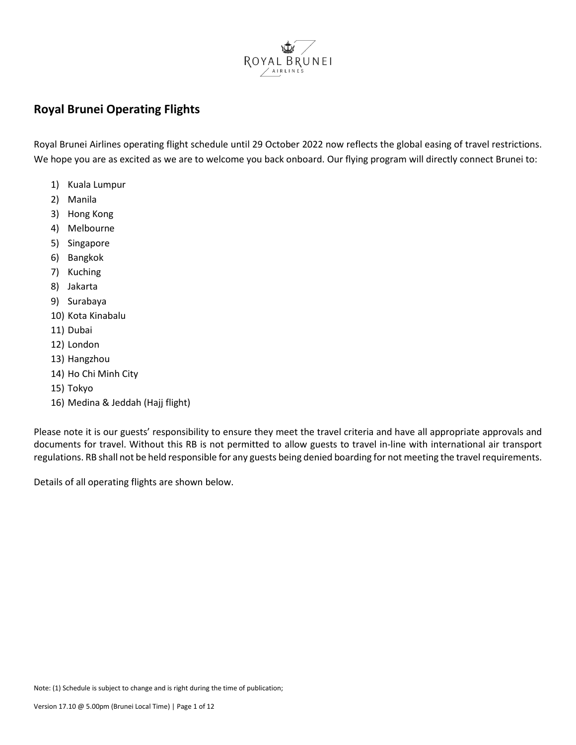

#### **Royal Brunei Operating Flights**

Royal Brunei Airlines operating flight schedule until 29 October 2022 now reflects the global easing of travel restrictions. We hope you are as excited as we are to welcome you back onboard. Our flying program will directly connect Brunei to:

- 1) Kuala Lumpur
- 2) Manila
- 3) Hong Kong
- 4) Melbourne
- 5) Singapore
- 6) Bangkok
- 7) Kuching
- 8) Jakarta
- 9) Surabaya
- 10) Kota Kinabalu
- 11) Dubai
- 12) London
- 13) Hangzhou
- 14) Ho Chi Minh City
- 15) Tokyo
- 16) Medina & Jeddah (Hajj flight)

Please note it is our guests' responsibility to ensure they meet the travel criteria and have all appropriate approvals and documents for travel. Without this RB is not permitted to allow guests to travel in-line with international air transport regulations. RB shall not be held responsible for any guests being denied boarding for not meeting the travel requirements.

Details of all operating flights are shown below.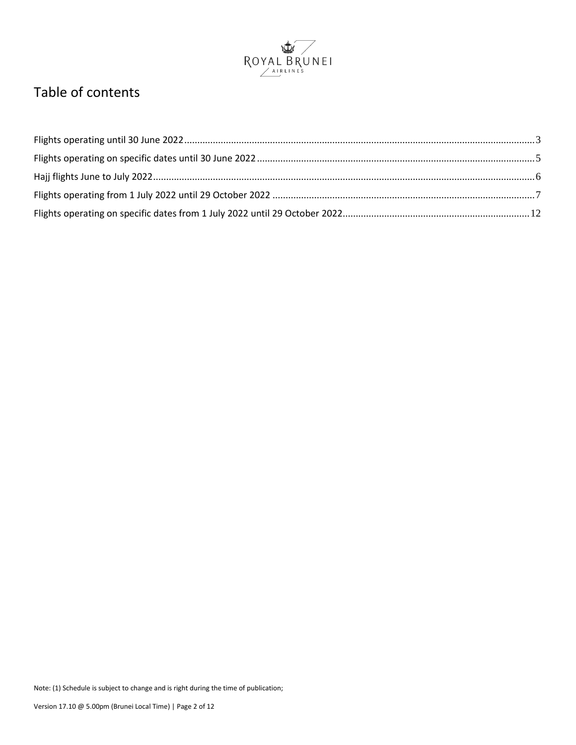

#### Table of contents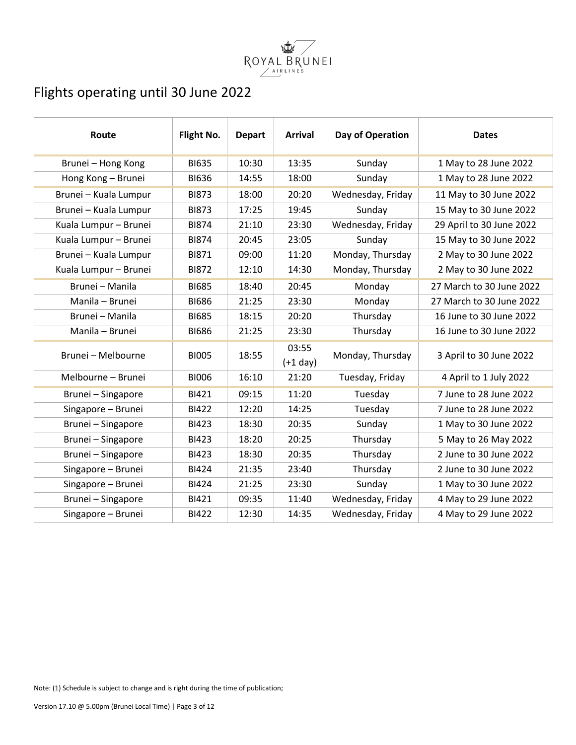

# <span id="page-2-0"></span>Flights operating until 30 June 2022

| Route                 | Flight No.   | <b>Depart</b> | <b>Arrival</b>      | Day of Operation  | <b>Dates</b>             |
|-----------------------|--------------|---------------|---------------------|-------------------|--------------------------|
| Brunei - Hong Kong    | <b>BI635</b> | 10:30         | 13:35               | Sunday            | 1 May to 28 June 2022    |
| Hong Kong - Brunei    | <b>BI636</b> | 14:55         | 18:00               | Sunday            | 1 May to 28 June 2022    |
| Brunei - Kuala Lumpur | <b>BI873</b> | 18:00         | 20:20               | Wednesday, Friday | 11 May to 30 June 2022   |
| Brunei - Kuala Lumpur | <b>BI873</b> | 17:25         | 19:45               | Sunday            | 15 May to 30 June 2022   |
| Kuala Lumpur - Brunei | <b>BI874</b> | 21:10         | 23:30               | Wednesday, Friday | 29 April to 30 June 2022 |
| Kuala Lumpur - Brunei | <b>BI874</b> | 20:45         | 23:05               | Sunday            | 15 May to 30 June 2022   |
| Brunei - Kuala Lumpur | <b>BI871</b> | 09:00         | 11:20               | Monday, Thursday  | 2 May to 30 June 2022    |
| Kuala Lumpur - Brunei | <b>BI872</b> | 12:10         | 14:30               | Monday, Thursday  | 2 May to 30 June 2022    |
| Brunei - Manila       | <b>BI685</b> | 18:40         | 20:45               | Monday            | 27 March to 30 June 2022 |
| Manila - Brunei       | <b>BI686</b> | 21:25         | 23:30               | Monday            | 27 March to 30 June 2022 |
| Brunei - Manila       | <b>BI685</b> | 18:15         | 20:20               | Thursday          | 16 June to 30 June 2022  |
| Manila - Brunei       | <b>BI686</b> | 21:25         | 23:30               | Thursday          | 16 June to 30 June 2022  |
| Brunei - Melbourne    | <b>BI005</b> | 18:55         | 03:55<br>$(+1$ day) | Monday, Thursday  | 3 April to 30 June 2022  |
| Melbourne - Brunei    | <b>BI006</b> | 16:10         | 21:20               | Tuesday, Friday   | 4 April to 1 July 2022   |
| Brunei - Singapore    | <b>BI421</b> | 09:15         | 11:20               | Tuesday           | 7 June to 28 June 2022   |
| Singapore - Brunei    | <b>BI422</b> | 12:20         | 14:25               | Tuesday           | 7 June to 28 June 2022   |
| Brunei - Singapore    | <b>BI423</b> | 18:30         | 20:35               | Sunday            | 1 May to 30 June 2022    |
| Brunei - Singapore    | <b>BI423</b> | 18:20         | 20:25               | Thursday          | 5 May to 26 May 2022     |
| Brunei - Singapore    | <b>BI423</b> | 18:30         | 20:35               | Thursday          | 2 June to 30 June 2022   |
| Singapore - Brunei    | <b>BI424</b> | 21:35         | 23:40               | Thursday          | 2 June to 30 June 2022   |
| Singapore - Brunei    | <b>BI424</b> | 21:25         | 23:30               | Sunday            | 1 May to 30 June 2022    |
| Brunei - Singapore    | BI421        | 09:35         | 11:40               | Wednesday, Friday | 4 May to 29 June 2022    |
| Singapore - Brunei    | <b>BI422</b> | 12:30         | 14:35               | Wednesday, Friday | 4 May to 29 June 2022    |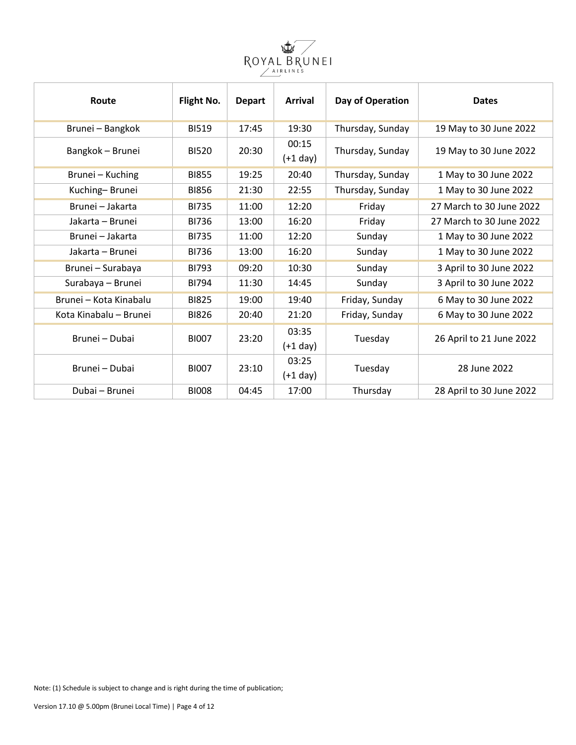

| Route                  | Flight No.   | <b>Depart</b> | <b>Arrival</b>      | Day of Operation | <b>Dates</b>             |
|------------------------|--------------|---------------|---------------------|------------------|--------------------------|
| Brunei - Bangkok       | <b>BI519</b> | 17:45         | 19:30               | Thursday, Sunday | 19 May to 30 June 2022   |
| Bangkok - Brunei       | <b>BI520</b> | 20:30         | 00:15<br>$(+1$ day) | Thursday, Sunday | 19 May to 30 June 2022   |
| Brunei - Kuching       | <b>BI855</b> | 19:25         | 20:40               | Thursday, Sunday | 1 May to 30 June 2022    |
| Kuching-Brunei         | <b>BI856</b> | 21:30         | 22:55               | Thursday, Sunday | 1 May to 30 June 2022    |
| Brunei - Jakarta       | <b>BI735</b> | 11:00         | 12:20               | Friday           | 27 March to 30 June 2022 |
| Jakarta - Brunei       | <b>BI736</b> | 13:00         | 16:20               | Friday           | 27 March to 30 June 2022 |
| Brunei - Jakarta       | <b>BI735</b> | 11:00         | 12:20               | Sunday           | 1 May to 30 June 2022    |
| Jakarta – Brunei       | <b>BI736</b> | 13:00         | 16:20               | Sunday           | 1 May to 30 June 2022    |
| Brunei - Surabaya      | <b>BI793</b> | 09:20         | 10:30               | Sunday           | 3 April to 30 June 2022  |
| Surabaya - Brunei      | <b>BI794</b> | 11:30         | 14:45               | Sunday           | 3 April to 30 June 2022  |
| Brunei - Kota Kinabalu | <b>BI825</b> | 19:00         | 19:40               | Friday, Sunday   | 6 May to 30 June 2022    |
| Kota Kinabalu - Brunei | <b>BI826</b> | 20:40         | 21:20               | Friday, Sunday   | 6 May to 30 June 2022    |
| Brunei - Dubai         | <b>BI007</b> | 23:20         | 03:35<br>$(+1$ day) | Tuesday          | 26 April to 21 June 2022 |
| Brunei - Dubai         | <b>BI007</b> | 23:10         | 03:25<br>$(+1$ day) | Tuesday          | 28 June 2022             |
| Dubai – Brunei         | <b>BI008</b> | 04:45         | 17:00               | Thursday         | 28 April to 30 June 2022 |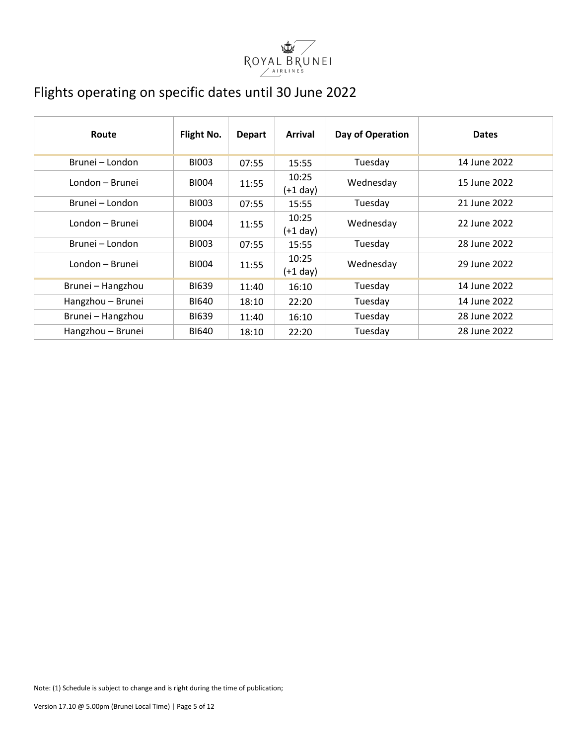

## <span id="page-4-0"></span>Flights operating on specific dates until 30 June 2022

| Route             | Flight No.   | <b>Depart</b> | <b>Arrival</b>      | Day of Operation | <b>Dates</b> |
|-------------------|--------------|---------------|---------------------|------------------|--------------|
| Brunei - London   | <b>BI003</b> | 07:55         | 15:55               | Tuesday          | 14 June 2022 |
| London - Brunei   | <b>BI004</b> | 11:55         | 10:25<br>$(+1$ day) | Wednesday        | 15 June 2022 |
| Brunei - London   | <b>BI003</b> | 07:55         | 15:55               | Tuesday          | 21 June 2022 |
| London - Brunei   | BI004        | 11:55         | 10:25<br>$(+1$ day) | Wednesday        | 22 June 2022 |
| Brunei – London   | <b>BI003</b> | 07:55         | 15:55               | Tuesday          | 28 June 2022 |
| London - Brunei   | <b>BI004</b> | 11:55         | 10:25<br>$(+1$ day) | Wednesday        | 29 June 2022 |
| Brunei - Hangzhou | <b>BI639</b> | 11:40         | 16:10               | Tuesday          | 14 June 2022 |
| Hangzhou - Brunei | <b>BI640</b> | 18:10         | 22:20               | Tuesday          | 14 June 2022 |
| Brunei - Hangzhou | <b>BI639</b> | 11:40         | 16:10               | Tuesday          | 28 June 2022 |
| Hangzhou - Brunei | <b>BI640</b> | 18:10         | 22:20               | Tuesday          | 28 June 2022 |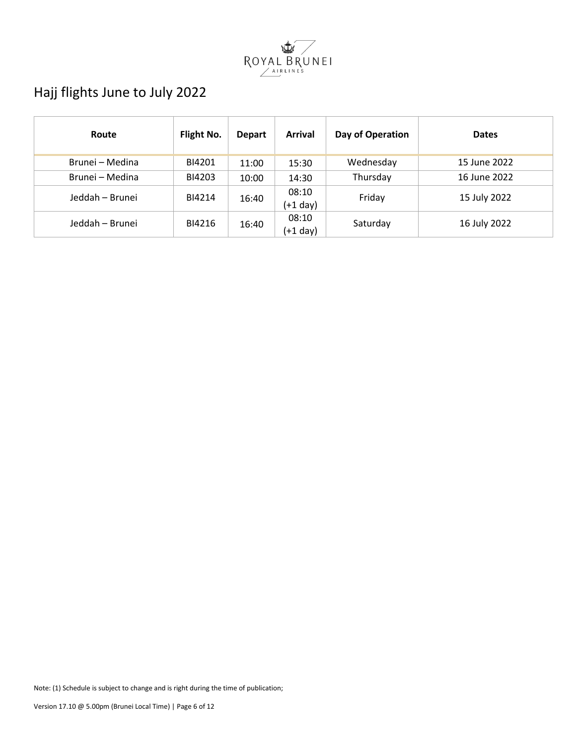

# <span id="page-5-0"></span>Hajj flights June to July 2022

| Route           | Flight No. | <b>Depart</b> | <b>Arrival</b>    | Day of Operation | <b>Dates</b> |
|-----------------|------------|---------------|-------------------|------------------|--------------|
| Brunei - Medina | BI4201     | 11:00         | 15:30             | Wednesday        | 15 June 2022 |
| Brunei - Medina | BI4203     | 10:00         | 14:30             | Thursday         | 16 June 2022 |
| Jeddah - Brunei | BI4214     | 16:40         | 08:10<br>(+1 day) | Friday           | 15 July 2022 |
| Jeddah - Brunei | BI4216     | 16:40         | 08:10<br>(+1 day) | Saturday         | 16 July 2022 |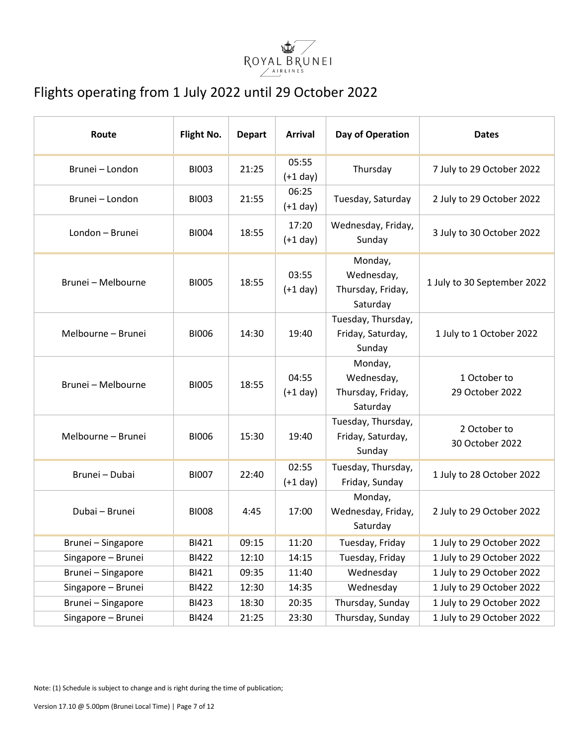

## <span id="page-6-0"></span>Flights operating from 1 July 2022 until 29 October 2022

| Route              | Flight No.   | <b>Depart</b> | <b>Arrival</b>      | Day of Operation                                       | <b>Dates</b>                    |
|--------------------|--------------|---------------|---------------------|--------------------------------------------------------|---------------------------------|
| Brunei - London    | <b>BI003</b> | 21:25         | 05:55<br>$(+1$ day) | Thursday                                               | 7 July to 29 October 2022       |
| Brunei - London    | <b>BI003</b> | 21:55         | 06:25<br>$(+1$ day) | Tuesday, Saturday                                      | 2 July to 29 October 2022       |
| London - Brunei    | <b>BI004</b> | 18:55         | 17:20<br>$(+1 day)$ | Wednesday, Friday,<br>Sunday                           | 3 July to 30 October 2022       |
| Brunei - Melbourne | <b>BI005</b> | 18:55         | 03:55<br>$(+1$ day) | Monday,<br>Wednesday,<br>Thursday, Friday,<br>Saturday | 1 July to 30 September 2022     |
| Melbourne - Brunei | <b>BI006</b> | 14:30         | 19:40               | Tuesday, Thursday,<br>Friday, Saturday,<br>Sunday      | 1 July to 1 October 2022        |
| Brunei - Melbourne | <b>BI005</b> | 18:55         | 04:55<br>$(+1$ day) | Monday,<br>Wednesday,<br>Thursday, Friday,<br>Saturday | 1 October to<br>29 October 2022 |
| Melbourne - Brunei | <b>BI006</b> | 15:30         | 19:40               | Tuesday, Thursday,<br>Friday, Saturday,<br>Sunday      | 2 October to<br>30 October 2022 |
| Brunei - Dubai     | <b>BI007</b> | 22:40         | 02:55<br>$(+1$ day) | Tuesday, Thursday,<br>Friday, Sunday                   | 1 July to 28 October 2022       |
| Dubai - Brunei     | <b>BI008</b> | 4:45          | 17:00               | Monday,<br>Wednesday, Friday,<br>Saturday              | 2 July to 29 October 2022       |
| Brunei - Singapore | BI421        | 09:15         | 11:20               | Tuesday, Friday                                        | 1 July to 29 October 2022       |
| Singapore - Brunei | BI422        | 12:10         | 14:15               | Tuesday, Friday                                        | 1 July to 29 October 2022       |
| Brunei - Singapore | <b>BI421</b> | 09:35         | 11:40               | Wednesday                                              | 1 July to 29 October 2022       |
| Singapore - Brunei | <b>BI422</b> | 12:30         | 14:35               | Wednesday                                              | 1 July to 29 October 2022       |
| Brunei - Singapore | <b>BI423</b> | 18:30         | 20:35               | Thursday, Sunday                                       | 1 July to 29 October 2022       |
| Singapore - Brunei | <b>BI424</b> | 21:25         | 23:30               | Thursday, Sunday                                       | 1 July to 29 October 2022       |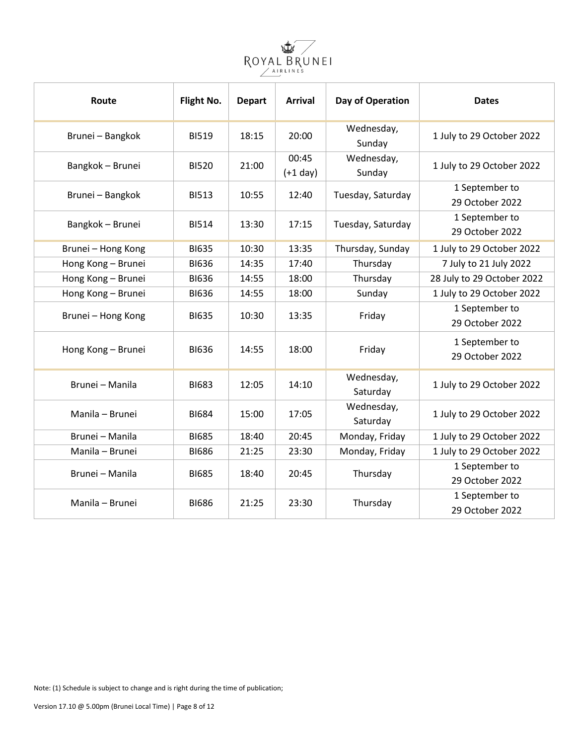

| Route              | Flight No.   | <b>Depart</b> | <b>Arrival</b>      | Day of Operation       | <b>Dates</b>                      |
|--------------------|--------------|---------------|---------------------|------------------------|-----------------------------------|
| Brunei - Bangkok   | <b>BI519</b> | 18:15         | 20:00               | Wednesday,<br>Sunday   | 1 July to 29 October 2022         |
| Bangkok - Brunei   | <b>BI520</b> | 21:00         | 00:45<br>$(+1$ day) | Wednesday,<br>Sunday   | 1 July to 29 October 2022         |
| Brunei - Bangkok   | <b>BI513</b> | 10:55         | 12:40               | Tuesday, Saturday      | 1 September to<br>29 October 2022 |
| Bangkok - Brunei   | <b>BI514</b> | 13:30         | 17:15               | Tuesday, Saturday      | 1 September to<br>29 October 2022 |
| Brunei - Hong Kong | <b>BI635</b> | 10:30         | 13:35               | Thursday, Sunday       | 1 July to 29 October 2022         |
| Hong Kong - Brunei | <b>BI636</b> | 14:35         | 17:40               | Thursday               | 7 July to 21 July 2022            |
| Hong Kong - Brunei | <b>BI636</b> | 14:55         | 18:00               | Thursday               | 28 July to 29 October 2022        |
| Hong Kong - Brunei | <b>BI636</b> | 14:55         | 18:00               | Sunday                 | 1 July to 29 October 2022         |
| Brunei - Hong Kong | <b>BI635</b> | 10:30         | 13:35               | Friday                 | 1 September to<br>29 October 2022 |
| Hong Kong - Brunei | <b>BI636</b> | 14:55         | 18:00               | Friday                 | 1 September to<br>29 October 2022 |
| Brunei - Manila    | <b>BI683</b> | 12:05         | 14:10               | Wednesday,<br>Saturday | 1 July to 29 October 2022         |
| Manila - Brunei    | <b>BI684</b> | 15:00         | 17:05               | Wednesday,<br>Saturday | 1 July to 29 October 2022         |
| Brunei - Manila    | <b>BI685</b> | 18:40         | 20:45               | Monday, Friday         | 1 July to 29 October 2022         |
| Manila - Brunei    | <b>BI686</b> | 21:25         | 23:30               | Monday, Friday         | 1 July to 29 October 2022         |
| Brunei - Manila    | <b>BI685</b> | 18:40         | 20:45               | Thursday               | 1 September to<br>29 October 2022 |
| Manila - Brunei    | <b>BI686</b> | 21:25         | 23:30               | Thursday               | 1 September to<br>29 October 2022 |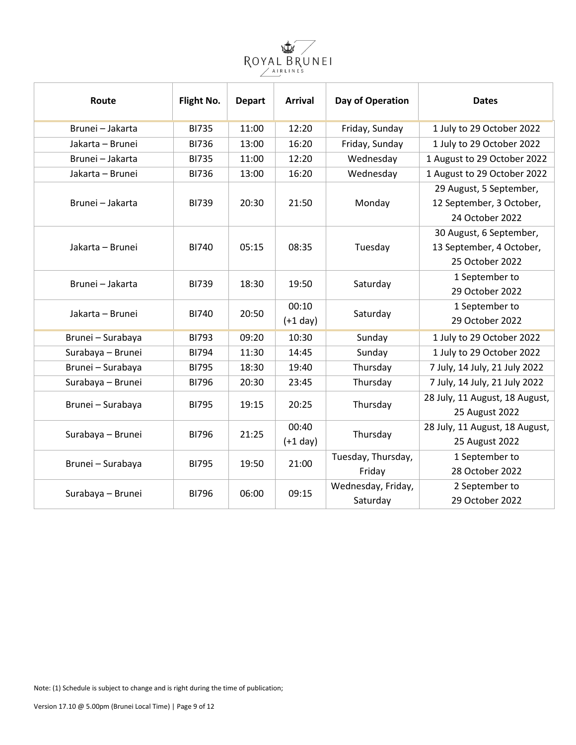

| Route             | Flight No.   | <b>Depart</b> | <b>Arrival</b> | Day of Operation   | <b>Dates</b>                   |
|-------------------|--------------|---------------|----------------|--------------------|--------------------------------|
| Brunei - Jakarta  | <b>BI735</b> | 11:00         | 12:20          | Friday, Sunday     | 1 July to 29 October 2022      |
| Jakarta - Brunei  | <b>BI736</b> | 13:00         | 16:20          | Friday, Sunday     | 1 July to 29 October 2022      |
| Brunei - Jakarta  | <b>BI735</b> | 11:00         | 12:20          | Wednesday          | 1 August to 29 October 2022    |
| Jakarta - Brunei  | <b>BI736</b> | 13:00         | 16:20          | Wednesday          | 1 August to 29 October 2022    |
|                   |              |               |                |                    | 29 August, 5 September,        |
| Brunei - Jakarta  | <b>BI739</b> | 20:30         | 21:50          | Monday             | 12 September, 3 October,       |
|                   |              |               |                |                    | 24 October 2022                |
|                   |              |               |                |                    | 30 August, 6 September,        |
| Jakarta - Brunei  | <b>BI740</b> | 05:15         | 08:35          | Tuesday            | 13 September, 4 October,       |
|                   |              |               |                |                    | 25 October 2022                |
| Brunei - Jakarta  | <b>BI739</b> | 18:30         | 19:50          | Saturday           | 1 September to                 |
|                   |              |               |                |                    | 29 October 2022                |
| Jakarta - Brunei  | <b>BI740</b> | 20:50         | 00:10          | Saturday           | 1 September to                 |
|                   |              |               | $(+1$ day)     |                    | 29 October 2022                |
| Brunei - Surabaya | <b>BI793</b> | 09:20         | 10:30          | Sunday             | 1 July to 29 October 2022      |
| Surabaya - Brunei | <b>BI794</b> | 11:30         | 14:45          | Sunday             | 1 July to 29 October 2022      |
| Brunei - Surabaya | <b>BI795</b> | 18:30         | 19:40          | Thursday           | 7 July, 14 July, 21 July 2022  |
| Surabaya - Brunei | <b>BI796</b> | 20:30         | 23:45          | Thursday           | 7 July, 14 July, 21 July 2022  |
|                   |              |               |                |                    | 28 July, 11 August, 18 August, |
| Brunei - Surabaya | <b>BI795</b> | 19:15         | 20:25          | Thursday           | 25 August 2022                 |
|                   | <b>BI796</b> | 21:25         | 00:40          |                    | 28 July, 11 August, 18 August, |
| Surabaya - Brunei |              |               | $(+1$ day)     | Thursday           | 25 August 2022                 |
|                   | <b>BI795</b> | 19:50         | 21:00          | Tuesday, Thursday, | 1 September to                 |
| Brunei - Surabaya |              |               |                | Friday             | 28 October 2022                |
| Surabaya - Brunei | <b>BI796</b> | 06:00         | 09:15          | Wednesday, Friday, | 2 September to                 |
|                   |              |               |                | Saturday           | 29 October 2022                |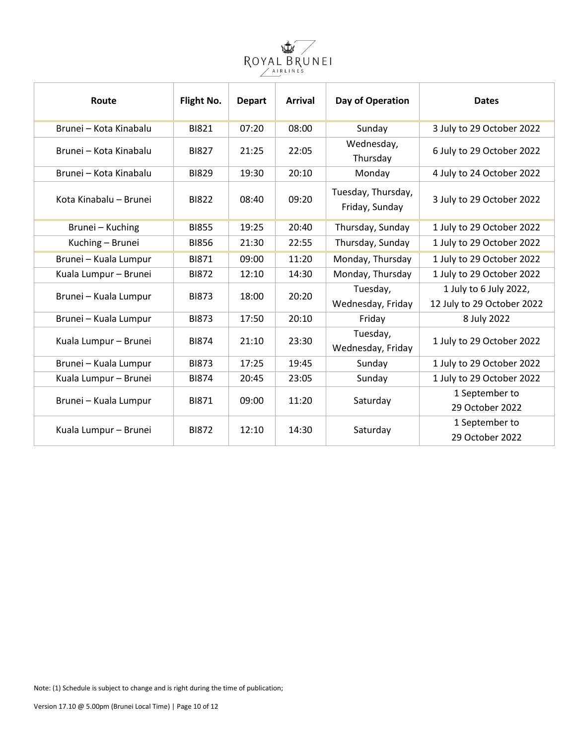

| Route                  | Flight No.   | <b>Depart</b> | <b>Arrival</b> | Day of Operation                     | <b>Dates</b>                                         |
|------------------------|--------------|---------------|----------------|--------------------------------------|------------------------------------------------------|
| Brunei - Kota Kinabalu | <b>BI821</b> | 07:20         | 08:00          | Sunday                               | 3 July to 29 October 2022                            |
| Brunei – Kota Kinabalu | <b>BI827</b> | 21:25         | 22:05          | Wednesday,<br>Thursday               | 6 July to 29 October 2022                            |
| Brunei – Kota Kinabalu | <b>BI829</b> | 19:30         | 20:10          | Monday                               | 4 July to 24 October 2022                            |
| Kota Kinabalu - Brunei | <b>BI822</b> | 08:40         | 09:20          | Tuesday, Thursday,<br>Friday, Sunday | 3 July to 29 October 2022                            |
| Brunei - Kuching       | <b>BI855</b> | 19:25         | 20:40          | Thursday, Sunday                     | 1 July to 29 October 2022                            |
| Kuching - Brunei       | <b>BI856</b> | 21:30         | 22:55          | Thursday, Sunday                     | 1 July to 29 October 2022                            |
| Brunei - Kuala Lumpur  | <b>BI871</b> | 09:00         | 11:20          | Monday, Thursday                     | 1 July to 29 October 2022                            |
| Kuala Lumpur - Brunei  | <b>BI872</b> | 12:10         | 14:30          | Monday, Thursday                     | 1 July to 29 October 2022                            |
| Brunei - Kuala Lumpur  | <b>BI873</b> | 18:00         | 20:20          | Tuesday,<br>Wednesday, Friday        | 1 July to 6 July 2022,<br>12 July to 29 October 2022 |
| Brunei - Kuala Lumpur  | <b>BI873</b> | 17:50         | 20:10          | Friday                               | 8 July 2022                                          |
| Kuala Lumpur - Brunei  | <b>BI874</b> | 21:10         | 23:30          | Tuesday,<br>Wednesday, Friday        | 1 July to 29 October 2022                            |
| Brunei - Kuala Lumpur  | <b>BI873</b> | 17:25         | 19:45          | Sunday                               | 1 July to 29 October 2022                            |
| Kuala Lumpur - Brunei  | <b>BI874</b> | 20:45         | 23:05          | Sunday                               | 1 July to 29 October 2022                            |
| Brunei - Kuala Lumpur  | <b>BI871</b> | 09:00         | 11:20          | Saturday                             | 1 September to<br>29 October 2022                    |
| Kuala Lumpur - Brunei  | <b>BI872</b> | 12:10         | 14:30          | Saturday                             | 1 September to<br>29 October 2022                    |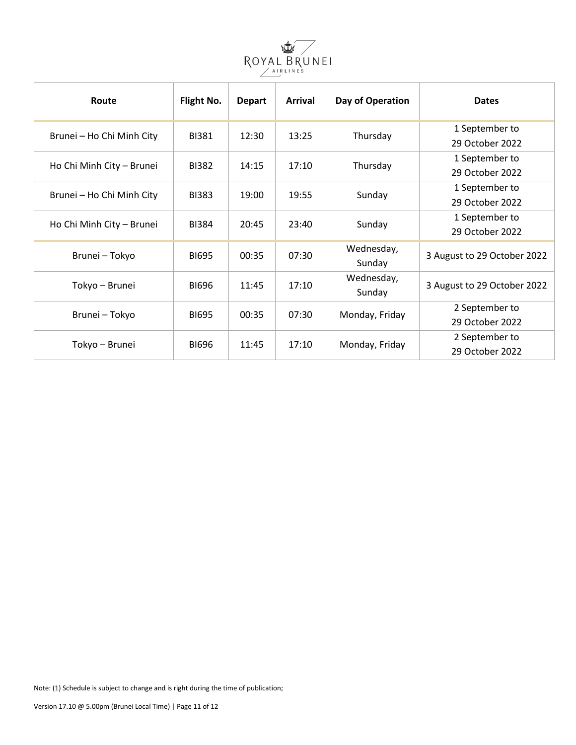

| Route                     | Flight No.   | <b>Depart</b>         | <b>Arrival</b>  | Day of Operation | <b>Dates</b>                |
|---------------------------|--------------|-----------------------|-----------------|------------------|-----------------------------|
| Brunei - Ho Chi Minh City | <b>BI381</b> | 12:30                 | 13:25           | Thursday         | 1 September to              |
|                           |              |                       |                 |                  | 29 October 2022             |
| Ho Chi Minh City - Brunei | <b>BI382</b> | 14:15                 | 17:10           | Thursday         | 1 September to              |
|                           |              |                       | 29 October 2022 |                  |                             |
| Brunei - Ho Chi Minh City | <b>BI383</b> | 19:00                 | 19:55           | Sunday           | 1 September to              |
|                           |              |                       |                 |                  | 29 October 2022             |
| Ho Chi Minh City - Brunei | <b>BI384</b> | 20:45                 | 23:40           | Sunday           | 1 September to              |
|                           |              |                       |                 |                  | 29 October 2022             |
|                           | <b>BI695</b> | 00:35                 | 07:30           | Wednesday,       |                             |
| Brunei - Tokyo            |              |                       |                 | Sunday           | 3 August to 29 October 2022 |
| Tokyo - Brunei            | <b>BI696</b> | 11:45                 | 17:10           | Wednesday,       | 3 August to 29 October 2022 |
|                           |              |                       |                 | Sunday           |                             |
| Brunei - Tokyo            | <b>BI695</b> |                       |                 |                  | 2 September to              |
|                           |              | 00:35                 | 07:30           | Monday, Friday   | 29 October 2022             |
| Tokyo - Brunei            |              |                       |                 |                  | 2 September to              |
|                           |              | <b>BI696</b><br>11:45 | 17:10           | Monday, Friday   | 29 October 2022             |